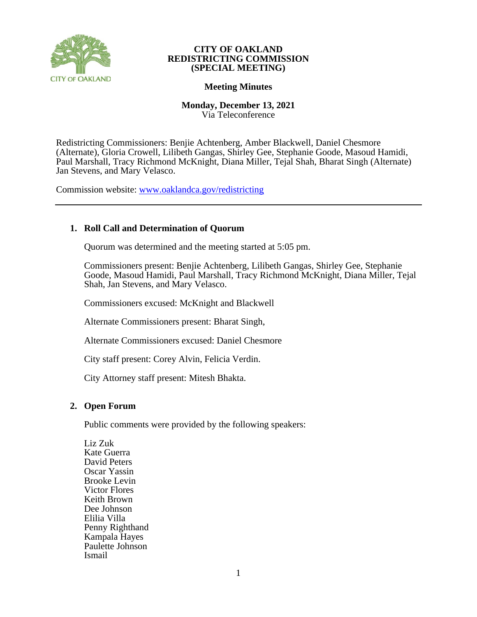

# **Meeting Minutes**

## **Monday, December 13, 2021** Via Teleconference

Redistricting Commissioners: Benjie Achtenberg, Amber Blackwell, Daniel Chesmore (Alternate), Gloria Crowell, Lilibeth Gangas, Shirley Gee, Stephanie Goode, Masoud Hamidi, Paul Marshall, Tracy Richmond McKnight, Diana Miller, Tejal Shah, Bharat Singh (Alternate) Jan Stevens, and Mary Velasco.

Commission website: [www.oaklandca.gov/redistricting](https://www.oaklandca.gov/boards-commissions/redistricting-commission/meetings)

# **1. Roll Call and Determination of Quorum**

Quorum was determined and the meeting started at 5:05 pm.

Commissioners present: Benjie Achtenberg, Lilibeth Gangas, Shirley Gee, Stephanie Goode, Masoud Hamidi, Paul Marshall, Tracy Richmond McKnight, Diana Miller, Tejal Shah, Jan Stevens, and Mary Velasco.

Commissioners excused: McKnight and Blackwell

Alternate Commissioners present: Bharat Singh,

Alternate Commissioners excused: Daniel Chesmore

City staff present: Corey Alvin, Felicia Verdin.

City Attorney staff present: Mitesh Bhakta.

## **2. Open Forum**

Public comments were provided by the following speakers:

Liz Zuk Kate Guerra David Peters Oscar Yassin Brooke Levin Victor Flores Keith Brown Dee Johnson Elilia Villa Penny Righthand Kampala Hayes Paulette Johnson Ismail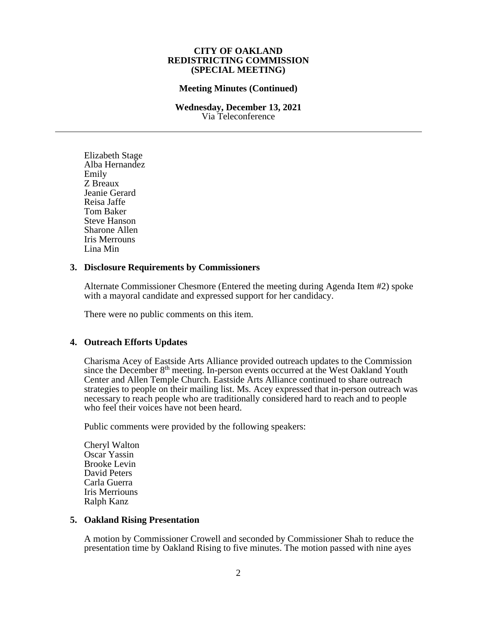## **Meeting Minutes (Continued)**

#### **Wednesday, December 13, 2021** Via Teleconference

Elizabeth Stage Alba Hernandez Emily Z Breaux Jeanie Gerard Reisa Jaffe Tom Baker Steve Hanson Sharone Allen Iris Merrouns Lina Min

## **3. Disclosure Requirements by Commissioners**

Alternate Commissioner Chesmore (Entered the meeting during Agenda Item #2) spoke with a mayoral candidate and expressed support for her candidacy.

There were no public comments on this item.

## **4. Outreach Efforts Updates**

Charisma Acey of Eastside Arts Alliance provided outreach updates to the Commission since the December 8<sup>th</sup> meeting. In-person events occurred at the West Oakland Youth Center and Allen Temple Church. Eastside Arts Alliance continued to share outreach strategies to people on their mailing list. Ms. Acey expressed that in-person outreach was necessary to reach people who are traditionally considered hard to reach and to people who feel their voices have not been heard.

Public comments were provided by the following speakers:

Cheryl Walton Oscar Yassin Brooke Levin David Peters Carla Guerra Iris Merriouns Ralph Kanz

## **5. Oakland Rising Presentation**

A motion by Commissioner Crowell and seconded by Commissioner Shah to reduce the presentation time by Oakland Rising to five minutes. The motion passed with nine ayes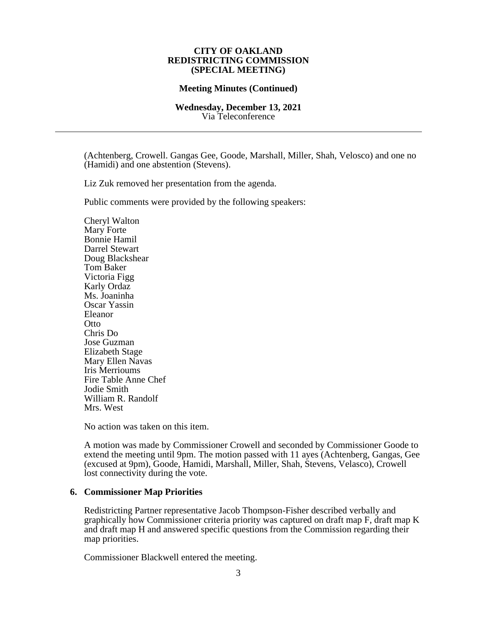### **Meeting Minutes (Continued)**

#### **Wednesday, December 13, 2021** Via Teleconference

(Achtenberg, Crowell. Gangas Gee, Goode, Marshall, Miller, Shah, Velosco) and one no (Hamidi) and one abstention (Stevens).

Liz Zuk removed her presentation from the agenda.

Public comments were provided by the following speakers:

Cheryl Walton Mary Forte Bonnie Hamil Darrel Stewart Doug Blackshear Tom Baker Victoria Figg Karly Ordaz Ms. Joaninha Oscar Yassin Eleanor Otto Chris Do Jose Guzman Elizabeth Stage Mary Ellen Navas Iris Merrioums Fire Table Anne Chef Jodie Smith William R. Randolf Mrs. West

No action was taken on this item.

A motion was made by Commissioner Crowell and seconded by Commissioner Goode to extend the meeting until 9pm. The motion passed with 11 ayes (Achtenberg, Gangas, Gee (excused at 9pm), Goode, Hamidi, Marshall, Miller, Shah, Stevens, Velasco), Crowell lost connectivity during the vote.

#### **6. Commissioner Map Priorities**

Redistricting Partner representative Jacob Thompson-Fisher described verbally and graphically how Commissioner criteria priority was captured on draft map F, draft map K and draft map H and answered specific questions from the Commission regarding their map priorities.

Commissioner Blackwell entered the meeting.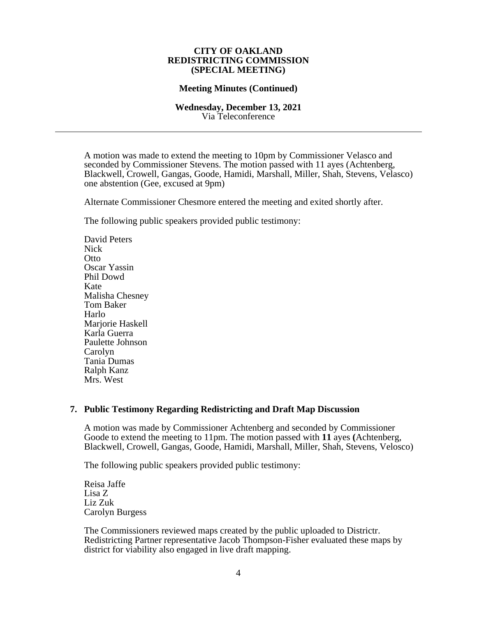### **Meeting Minutes (Continued)**

#### **Wednesday, December 13, 2021** Via Teleconference

A motion was made to extend the meeting to 10pm by Commissioner Velasco and seconded by Commissioner Stevens. The motion passed with 11 ayes (Achtenberg, Blackwell, Crowell, Gangas, Goode, Hamidi, Marshall, Miller, Shah, Stevens, Velasco) one abstention (Gee, excused at 9pm)

Alternate Commissioner Chesmore entered the meeting and exited shortly after.

The following public speakers provided public testimony:

David Peters Nick **Otto** Oscar Yassin Phil Dowd Kate Malisha Chesney Tom Baker Harlo Mariorie Haskell Karla Guerra Paulette Johnson Carolyn Tania Dumas Ralph Kanz Mrs. West

## **7. Public Testimony Regarding Redistricting and Draft Map Discussion**

A motion was made by Commissioner Achtenberg and seconded by Commissioner Goode to extend the meeting to 11pm. The motion passed with **11** ayes **(**Achtenberg, Blackwell, Crowell, Gangas, Goode, Hamidi, Marshall, Miller, Shah, Stevens, Velosco)

The following public speakers provided public testimony:

Reisa Jaffe Lisa Z Liz Zuk Carolyn Burgess

The Commissioners reviewed maps created by the public uploaded to Districtr. Redistricting Partner representative Jacob Thompson-Fisher evaluated these maps by district for viability also engaged in live draft mapping.